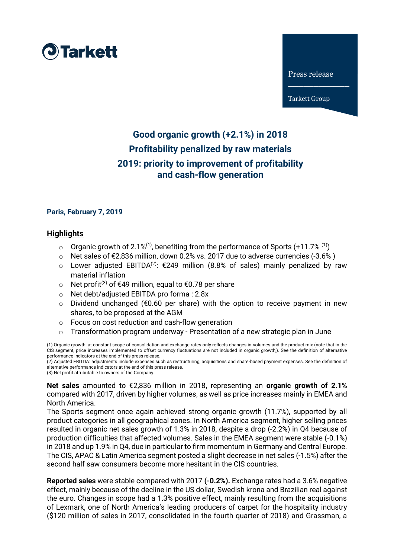

Press release

 $\frac{1}{2}$  , where  $\frac{1}{2}$ 

Tarkett Group

# **Good organic growth (+2.1%) in 2018 Profitability penalized by raw materials 2019: priority to improvement of profitability and cash-flow generation**

## **Paris, February 7, 2019**

## **Highlights**

- $\circ$  Organic growth of 2.1%<sup>(1)</sup>, benefiting from the performance of Sports (+11.7% <sup>(1)</sup>)
- o Net sales of €2,836 million, down 0.2% vs. 2017 due to adverse currencies (-3.6% )
- o Lower adjusted EBITDA<sup>(2)</sup>: €249 million (8.8% of sales) mainly penalized by raw material inflation
- o Net profit<sup>(3)</sup> of €49 million, equal to €0.78 per share
- o Net debt/adjusted EBITDA pro forma : 2.8x
- o Dividend unchanged (€0.60 per share) with the option to receive payment in new shares, to be proposed at the AGM
- o Focus on cost reduction and cash-flow generation
- $\circ$  Transformation program underway Presentation of a new strategic plan in June

(1) Organic growth: at constant scope of consolidation and exchange rates only reflects changes in volumes and the product mix (note that in the CIS segment, price increases implemented to offset currency fluctuations are not included in organic growth,). See the definition of alternative performance indicators at the end of this press release.

(2) Adjusted EBITDA: adjustments include expenses such as restructuring, acquisitions and share-based payment expenses. See the definition of alternative performance indicators at the end of this press release. (3) Net profit attributable to owners of the Company.

**Net sales** amounted to €2,836 million in 2018, representing an **organic growth of 2.1%**  compared with 2017, driven by higher volumes, as well as price increases mainly in EMEA and North America.

The Sports segment once again achieved strong organic growth (11.7%), supported by all product categories in all geographical zones. In North America segment, higher selling prices resulted in organic net sales growth of 1.3% in 2018, despite a drop (-2.2%) in Q4 because of production difficulties that affected volumes. Sales in the EMEA segment were stable (-0.1%) in 2018 and up 1.9% in Q4, due in particular to firm momentum in Germany and Central Europe. The CIS, APAC & Latin America segment posted a slight decrease in net sales (-1.5%) after the second half saw consumers become more hesitant in the CIS countries.

**Reported sales** were stable compared with 2017 **(-0.2%).** Exchange rates had a 3.6% negative effect, mainly because of the decline in the US dollar, Swedish krona and Brazilian real against the euro. Changes in scope had a 1.3% positive effect, mainly resulting from the acquisitions of Lexmark, one of North America's leading producers of carpet for the hospitality industry (\$120 million of sales in 2017, consolidated in the fourth quarter of 2018) and Grassman, a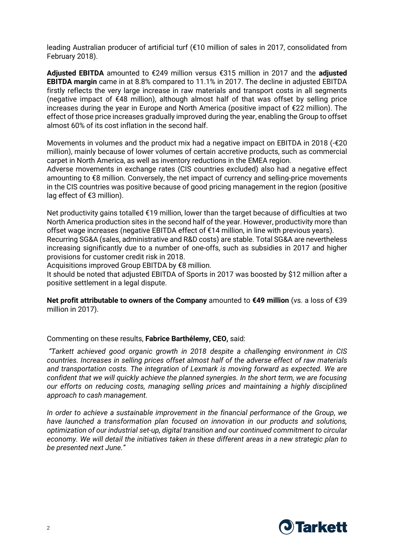leading Australian producer of artificial turf (€10 million of sales in 2017, consolidated from February 2018).

**Adjusted EBITDA** amounted to €249 million versus €315 million in 2017 and the **adjusted EBITDA margin** came in at 8.8% compared to 11.1% in 2017. The decline in adjusted EBITDA firstly reflects the very large increase in raw materials and transport costs in all segments (negative impact of €48 million), although almost half of that was offset by selling price increases during the year in Europe and North America (positive impact of €22 million). The effect of those price increases gradually improved during the year, enabling the Group to offset almost 60% of its cost inflation in the second half.

Movements in volumes and the product mix had a negative impact on EBITDA in 2018 (- $\epsilon$ 20 million), mainly because of lower volumes of certain accretive products, such as commercial carpet in North America, as well as inventory reductions in the EMEA region.

Adverse movements in exchange rates (CIS countries excluded) also had a negative effect amounting to €8 million. Conversely, the net impact of currency and selling-price movements in the CIS countries was positive because of good pricing management in the region (positive lag effect of €3 million).

Net productivity gains totalled €19 million, lower than the target because of difficulties at two North America production sites in the second half of the year. However, productivity more than offset wage increases (negative EBITDA effect of €14 million, in line with previous years). Recurring SG&A (sales, administrative and R&D costs) are stable. Total SG&A are nevertheless increasing significantly due to a number of one-offs, such as subsidies in 2017 and higher provisions for customer credit risk in 2018.

Acquisitions improved Group EBITDA by €8 million.

It should be noted that adjusted EBITDA of Sports in 2017 was boosted by \$12 million after a positive settlement in a legal dispute.

**Net profit attributable to owners of the Company** amounted to **€49 million** (vs. a loss of €39 million in 2017).

## Commenting on these results, **Fabrice Barthélemy, CEO,** said:

*"Tarkett achieved good organic growth in 2018 despite a challenging environment in CIS countries. Increases in selling prices offset almost half of the adverse effect of raw materials and transportation costs. The integration of Lexmark is moving forward as expected. We are confident that we will quickly achieve the planned synergies. In the short term, we are focusing our efforts on reducing costs, managing selling prices and maintaining a highly disciplined approach to cash management.* 

*In order to achieve a sustainable improvement in the financial performance of the Group, we have launched a transformation plan focused on innovation in our products and solutions, optimization of our industrial set-up, digital transition and our continued commitment to circular economy. We will detail the initiatives taken in these different areas in a new strategic plan to be presented next June."*

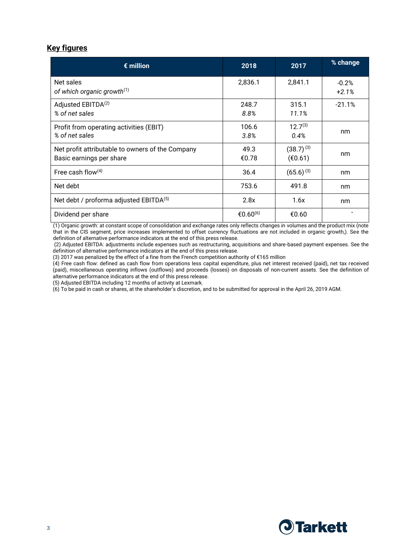# **Key figures**

| $\epsilon$ million                                                           | 2018                 | 2017                      | % change           |
|------------------------------------------------------------------------------|----------------------|---------------------------|--------------------|
| Net sales<br>of which organic growth <sup>(1)</sup>                          | 2,836.1              | 2,841.1                   | $-0.2%$<br>$+2.1%$ |
| Adjusted EBITDA <sup>(2)</sup><br>% of net sales                             | 248.7<br>8.8%        | 315.1<br>11.1%            | $-21.1%$           |
| Profit from operating activities (EBIT)<br>% of net sales                    | 106.6<br>3.8%        | $12.7^{(3)}$<br>0.4%      | nm                 |
| Net profit attributable to owners of the Company<br>Basic earnings per share | 49.3<br>€0.78        | $(38.7)^{(3)}$<br>(€0.61) | nm                 |
| Free cash flow $(4)$                                                         | 36.4                 | $(65.6)^{(3)}$            | nm                 |
| Net debt                                                                     | 753.6                | 491.8                     | nm                 |
| Net debt / proforma adjusted EBITDA(5)                                       | 2.8x                 | 1.6x                      | nm                 |
| Dividend per share                                                           | €0.60 <sup>(6)</sup> | €0.60                     |                    |

(1) Organic growth: at constant scope of consolidation and exchange rates only reflects changes in volumes and the product mix (note that in the CIS segment, price increases implemented to offset currency fluctuations are not included in organic growth,). See the definition of alternative performance indicators at the end of this press release.

(2) Adjusted EBITDA: adjustments include expenses such as restructuring, acquisitions and share-based payment expenses. See the definition of alternative performance indicators at the end of this press release.

(3) 2017 was penalized by the effect of a fine from the French competition authority of €165 million

(4) Free cash flow: defined as cash flow from operations less capital expenditure, plus net interest received (paid), net tax received (paid), miscellaneous operating inflows (outflows) and proceeds (losses) on disposals of non-current assets. See the definition of alternative performance indicators at the end of this press release.

(5) Adjusted EBITDA including 12 months of activity at Lexmark.

(6) To be paid in cash or shares, at the shareholder's discretion, and to be submitted for approval in the April 26, 2019 AGM.

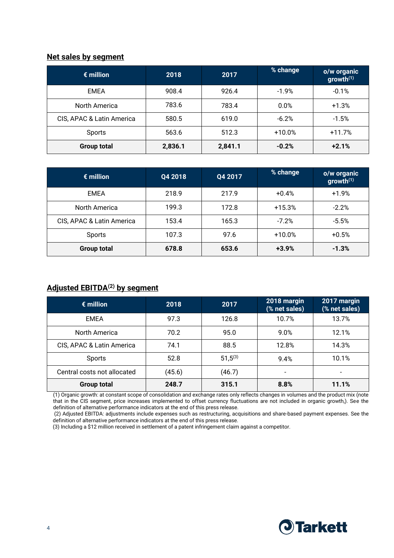## **Net sales by segment**

| $\epsilon$ million        | 2018    | 2017    | % change | o/w organic<br>growth $(1)$ |
|---------------------------|---------|---------|----------|-----------------------------|
| <b>EMEA</b>               | 908.4   | 926.4   | $-1.9%$  | $-0.1%$                     |
| North America             | 783.6   | 783.4   | 0.0%     | $+1.3%$                     |
| CIS, APAC & Latin America | 580.5   | 619.0   | $-6.2%$  | $-1.5%$                     |
| Sports                    | 563.6   | 512.3   | $+10.0%$ | $+11.7%$                    |
| <b>Group total</b>        | 2,836.1 | 2,841.1 | $-0.2%$  | $+2.1%$                     |

| $\epsilon$ million        | Q4 2018 | Q4 2017 | % change | o/w organic<br>growth $(1)$ |
|---------------------------|---------|---------|----------|-----------------------------|
| <b>EMEA</b>               | 218.9   | 217.9   | $+0.4%$  | $+1.9%$                     |
| North America             | 199.3   | 172.8   | $+15.3%$ | $-2.2%$                     |
| CIS, APAC & Latin America | 153.4   | 165.3   | $-7.2%$  | $-5.5%$                     |
| Sports                    | 107.3   | 97.6    | $+10.0%$ | $+0.5%$                     |
| <b>Group total</b>        | 678.8   | 653.6   | $+3.9%$  | $-1.3%$                     |

# **Adjusted EBITDA(2) by segment**

| $\epsilon$ million          | 2018   | 2017         | 2018 margin<br>(% net sales) | 2017 margin<br>(% net sales) |
|-----------------------------|--------|--------------|------------------------------|------------------------------|
| <b>EMEA</b>                 | 97.3   | 126.8        | 10.7%                        | 13.7%                        |
| North America               | 70.2   | 95.0         | $9.0\%$                      | 12.1%                        |
| CIS, APAC & Latin America   | 74.1   | 88.5         | 12.8%                        | 14.3%                        |
| Sports                      | 52.8   | $51,5^{(3)}$ | 9.4%                         | 10.1%                        |
| Central costs not allocated | (45.6) | (46.7)       | -                            |                              |
| <b>Group total</b>          | 248.7  | 315.1        | 8.8%                         | 11.1%                        |

(1) Organic growth: at constant scope of consolidation and exchange rates only reflects changes in volumes and the product mix (note that in the CIS segment, price increases implemented to offset currency fluctuations are not included in organic growth,). See the definition of alternative performance indicators at the end of this press release.

(2) Adjusted EBITDA: adjustments include expenses such as restructuring, acquisitions and share-based payment expenses. See the definition of alternative performance indicators at the end of this press release.

(3) Including a \$12 million received in settlement of a patent infringement claim against a competitor.

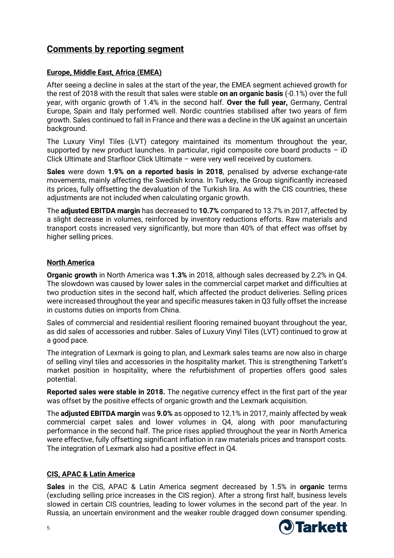# **Comments by reporting segment**

## **Europe, Middle East, Africa (EMEA)**

After seeing a decline in sales at the start of the year, the EMEA segment achieved growth for the rest of 2018 with the result that sales were stable **on an organic basis** (-0.1%) over the full year, with organic growth of 1.4% in the second half. **Over the full year,** Germany, Central Europe, Spain and Italy performed well. Nordic countries stabilised after two years of firm growth. Sales continued to fall in France and there was a decline in the UK against an uncertain background.

The Luxury Vinyl Tiles (LVT) category maintained its momentum throughout the year, supported by new product launches. In particular, rigid composite core board products – iD Click Ultimate and Starfloor Click Ultimate – were very well received by customers.

**Sales** were down **1.9% on a reported basis in 2018**, penalised by adverse exchange-rate movements, mainly affecting the Swedish krona. In Turkey, the Group significantly increased its prices, fully offsetting the devaluation of the Turkish lira. As with the CIS countries, these adjustments are not included when calculating organic growth.

The **adjusted EBITDA margin** has decreased to **10.7%** compared to 13.7% in 2017, affected by a slight decrease in volumes, reinforced by inventory reductions efforts. Raw materials and transport costs increased very significantly, but more than 40% of that effect was offset by higher selling prices.

## **North America**

**Organic growth** in North America was **1.3%** in 2018, although sales decreased by 2.2% in Q4. The slowdown was caused by lower sales in the commercial carpet market and difficulties at two production sites in the second half, which affected the product deliveries. Selling prices were increased throughout the year and specific measures taken in Q3 fully offset the increase in customs duties on imports from China.

Sales of commercial and residential resilient flooring remained buoyant throughout the year, as did sales of accessories and rubber. Sales of Luxury Vinyl Tiles (LVT) continued to grow at a good pace.

The integration of Lexmark is going to plan, and Lexmark sales teams are now also in charge of selling vinyl tiles and accessories in the hospitality market. This is strengthening Tarkett's market position in hospitality, where the refurbishment of properties offers good sales potential.

**Reported sales were stable in 2018.** The negative currency effect in the first part of the year was offset by the positive effects of organic growth and the Lexmark acquisition.

The **adjusted EBITDA margin** was **9.0%** as opposed to 12.1% in 2017, mainly affected by weak commercial carpet sales and lower volumes in Q4, along with poor manufacturing performance in the second half. The price rises applied throughout the year in North America were effective, fully offsetting significant inflation in raw materials prices and transport costs. The integration of Lexmark also had a positive effect in Q4.

## **CIS, APAC & Latin America**

**Sales** in the CIS, APAC & Latin America segment decreased by 1.5% in **organic** terms (excluding selling price increases in the CIS region). After a strong first half, business levels slowed in certain CIS countries, leading to lower volumes in the second part of the year. In Russia, an uncertain environment and the weaker rouble dragged down consumer spending.

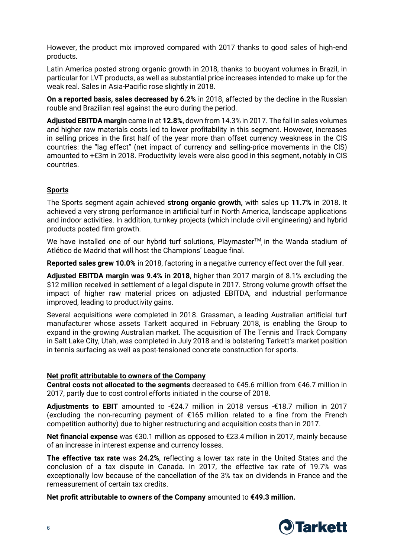However, the product mix improved compared with 2017 thanks to good sales of high-end products.

Latin America posted strong organic growth in 2018, thanks to buoyant volumes in Brazil, in particular for LVT products, as well as substantial price increases intended to make up for the weak real. Sales in Asia-Pacific rose slightly in 2018.

**On a reported basis, sales decreased by 6.2%** in 2018, affected by the decline in the Russian rouble and Brazilian real against the euro during the period.

**Adjusted EBITDA margin** came in at **12.8%**, down from 14.3% in 2017. The fall in sales volumes and higher raw materials costs led to lower profitability in this segment. However, increases in selling prices in the first half of the year more than offset currency weakness in the CIS countries: the "lag effect" (net impact of currency and selling-price movements in the CIS) amounted to +€3m in 2018. Productivity levels were also good in this segment, notably in CIS countries.

## **Sports**

The Sports segment again achieved **strong organic growth,** with sales up **11.7%** in 2018. It achieved a very strong performance in artificial turf in North America, landscape applications and indoor activities. In addition, turnkey projects (which include civil engineering) and hybrid products posted firm growth.

We have installed one of our hybrid turf solutions, Playmaster™ in the Wanda stadium of Atlético de Madrid that will host the Champions' League final.

**Reported sales grew 10.0%** in 2018, factoring in a negative currency effect over the full year.

**Adjusted EBITDA margin was 9.4% in 2018**, higher than 2017 margin of 8.1% excluding the \$12 million received in settlement of a legal dispute in 2017. Strong volume growth offset the impact of higher raw material prices on adjusted EBITDA, and industrial performance improved, leading to productivity gains.

Several acquisitions were completed in 2018. Grassman, a leading Australian artificial turf manufacturer whose assets Tarkett acquired in February 2018, is enabling the Group to expand in the growing Australian market. The acquisition of The Tennis and Track Company in Salt Lake City, Utah, was completed in July 2018 and is bolstering Tarkett's market position in tennis surfacing as well as post-tensioned concrete construction for sports.

## **Net profit attributable to owners of the Company**

**Central costs not allocated to the segments** decreased to €45.6 million from €46.7 million in 2017, partly due to cost control efforts initiated in the course of 2018.

**Adjustments to EBIT** amounted to -€24.7 million in 2018 versus -€18.7 million in 2017 (excluding the non-recurring payment of €165 million related to a fine from the French competition authority) due to higher restructuring and acquisition costs than in 2017.

**Net financial expense** was €30.1 million as opposed to €23.4 million in 2017, mainly because of an increase in interest expense and currency losses.

**The effective tax rate** was **24.2%**, reflecting a lower tax rate in the United States and the conclusion of a tax dispute in Canada. In 2017, the effective tax rate of 19.7% was exceptionally low because of the cancellation of the 3% tax on dividends in France and the remeasurement of certain tax credits.

**Net profit attributable to owners of the Company** amounted to **€49.3 million.**

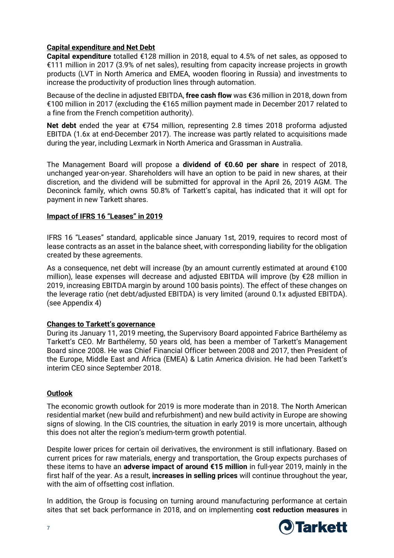## **Capital expenditure and Net Debt**

**Capital expenditure** totalled €128 million in 2018, equal to 4.5% of net sales, as opposed to €111 million in 2017 (3.9% of net sales), resulting from capacity increase projects in growth products (LVT in North America and EMEA, wooden flooring in Russia) and investments to increase the productivity of production lines through automation.

Because of the decline in adjusted EBITDA, **free cash flow** was €36 million in 2018, down from €100 million in 2017 (excluding the €165 million payment made in December 2017 related to a fine from the French competition authority).

**Net debt** ended the year at €754 million, representing 2.8 times 2018 proforma adjusted EBITDA (1.6x at end-December 2017). The increase was partly related to acquisitions made during the year, including Lexmark in North America and Grassman in Australia.

The Management Board will propose a **dividend of €0.60 per share** in respect of 2018, unchanged year-on-year. Shareholders will have an option to be paid in new shares, at their discretion, and the dividend will be submitted for approval in the April 26, 2019 AGM. The Deconinck family, which owns 50.8% of Tarkett's capital, has indicated that it will opt for payment in new Tarkett shares.

## **Impact of IFRS 16 "Leases" in 2019**

IFRS 16 "Leases" standard, applicable since January 1st, 2019, requires to record most of lease contracts as an asset in the balance sheet, with corresponding liability for the obligation created by these agreements.

As a consequence, net debt will increase (by an amount currently estimated at around  $\epsilon$ 100 million), lease expenses will decrease and adjusted EBITDA will improve (by €28 million in 2019, increasing EBITDA margin by around 100 basis points). The effect of these changes on the leverage ratio (net debt/adjusted EBITDA) is very limited (around 0.1x adjusted EBITDA). (see Appendix 4)

## **Changes to Tarkett's governance**

During its January 11, 2019 meeting, the Supervisory Board appointed Fabrice Barthélemy as Tarkett's CEO. Mr Barthélemy, 50 years old, has been a member of Tarkett's Management Board since 2008. He was Chief Financial Officer between 2008 and 2017, then President of the Europe, Middle East and Africa (EMEA) & Latin America division. He had been Tarkett's interim CEO since September 2018.

## **Outlook**

The economic growth outlook for 2019 is more moderate than in 2018. The North American residential market (new build and refurbishment) and new build activity in Europe are showing signs of slowing. In the CIS countries, the situation in early 2019 is more uncertain, although this does not alter the region's medium-term growth potential.

Despite lower prices for certain oil derivatives, the environment is still inflationary. Based on current prices for raw materials, energy and transportation, the Group expects purchases of these items to have an **adverse impact of around €15 million** in full-year 2019, mainly in the first half of the year. As a result, **increases in selling prices** will continue throughout the year, with the aim of offsetting cost inflation.

In addition, the Group is focusing on turning around manufacturing performance at certain sites that set back performance in 2018, and on implementing **cost reduction measures** in

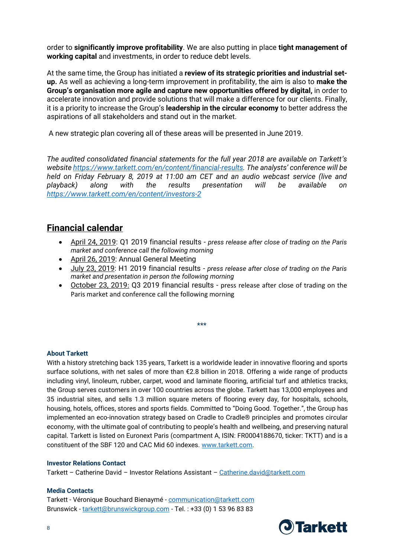order to **significantly improve profitability**. We are also putting in place **tight management of working capital** and investments, in order to reduce debt levels.

At the same time, the Group has initiated a **review of its strategic priorities and industrial setup.** As well as achieving a long-term improvement in profitability, the aim is also to **make the Group's organisation more agile and capture new opportunities offered by digital,** in order to accelerate innovation and provide solutions that will make a difference for our clients. Finally, it is a priority to increase the Group's **leadership in the circular economy** to better address the aspirations of all stakeholders and stand out in the market.

A new strategic plan covering all of these areas will be presented in June 2019.

*The audited consolidated financial statements for the full year 2018 are available on Tarkett's websit[e https://www.tarkett.com/en/content/financial-results.](https://www.tarkett.com/en/content/financial-results) The analysts' conference will be held on Friday February 8, 2019 at 11:00 am CET and an audio webcast service (live and playback) along with the results presentation will be available on <https://www.tarkett.com/en/content/investors-2>*

# **Financial calendar**

- April 24, 2019: Q1 2019 financial results *press release after close of trading on the Paris market and conference call the following morning*
- April 26, 2019: Annual General Meeting
- July 23, 2019: H1 2019 financial results *press release after close of trading on the Paris market and presentation in person the following morning*
- October 23, 2019: Q3 2019 financial results press release after close of trading on the Paris market and conference call the following morning

\*\*\*

## **About Tarkett**

With a history stretching back 135 years, Tarkett is a worldwide leader in innovative flooring and sports surface solutions, with net sales of more than €2.8 billion in 2018. Offering a wide range of products including vinyl, linoleum, rubber, carpet, wood and laminate flooring, artificial turf and athletics tracks, the Group serves customers in over 100 countries across the globe. Tarkett has 13,000 employees and 35 industrial sites, and sells 1.3 million square meters of flooring every day, for hospitals, schools, housing, hotels, offices, stores and sports fields. Committed to "Doing Good. Together.", the Group has implemented an eco-innovation strategy based on Cradle to Cradle® principles and promotes circular economy, with the ultimate goal of contributing to people's health and wellbeing, and preserving natural capital. Tarkett is listed on Euronext Paris (compartment A, ISIN: FR0004188670, ticker: TKTT) and is a constituent of the SBF 120 and CAC Mid 60 indexes. [www.tarkett.com.](http://www.tarkett.com/)

#### **Investor Relations Contact**

Tarkett – Catherine David – Investor Relations Assistant – [Catherine.david@tarkett.com](mailto:Catherine.david@tarkett.com)

#### **Media Contacts**

Tarkett - Véronique Bouchard Bienaymé - [communication@tarkett.com](mailto:communication@tarkett.com) Brunswick - [tarkett@brunswickgroup.com](mailto:tarkett@brunswickgroup.com) - Tel. : +33 (0) 1 53 96 83 83

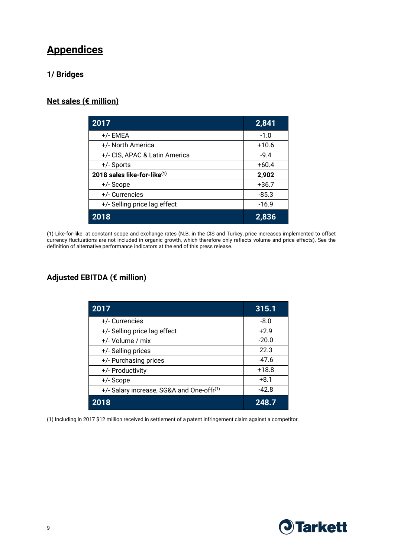# **Appendices**

# **1/ Bridges**

# **Net sales (€ million)**

| 2017                          | 2,841   |
|-------------------------------|---------|
| +/- EMEA                      | $-1.0$  |
| +/- North America             | $+10.6$ |
| +/- CIS, APAC & Latin America | $-9.4$  |
| +/- Sports                    | $+60.4$ |
| 2018 sales like-for-like(1)   | 2,902   |
| +/- Scope                     | $+36.7$ |
| +/- Currencies                | $-85.3$ |
| +/- Selling price lag effect  | $-16.9$ |
| 2018                          | 2,836   |

(1) Like-for-like: at constant scope and exchange rates (N.B. in the CIS and Turkey, price increases implemented to offset currency fluctuations are not included in organic growth, which therefore only reflects volume and price effects). See the definition of alternative performance indicators at the end of this press release.

# **Adjusted EBITDA (€ million)**

| 2017                                                  | 315.1   |
|-------------------------------------------------------|---------|
| +/- Currencies                                        | $-8.0$  |
| +/- Selling price lag effect                          | $+2.9$  |
| +/- Volume / mix                                      | $-20.0$ |
| +/- Selling prices                                    | 22.3    |
| +/- Purchasing prices                                 | $-47.6$ |
| +/- Productivity                                      | $+18.8$ |
| +/- Scope                                             | $+8.1$  |
| +/- Salary increase, SG&A and One-offr <sup>(1)</sup> | $-42.8$ |
| 2018                                                  | 248.7   |

(1) Including in 2017 \$12 million received in settlement of a patent infringement claim against a competitor.

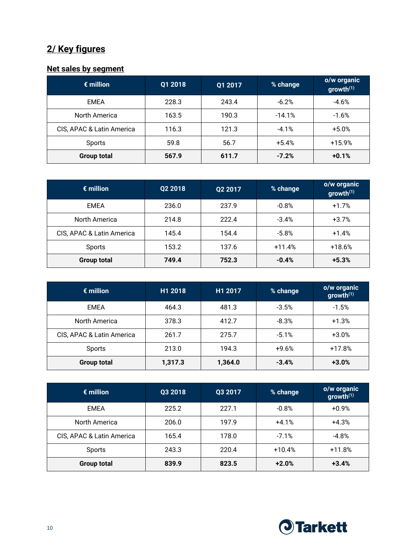# **2/ Key figures**

# **Net sales by segment**

| $\epsilon$ million        | Q1 2018 | Q1 2017 | % change | o/w organic<br>growth <sup>(1)</sup> |
|---------------------------|---------|---------|----------|--------------------------------------|
| <b>EMEA</b>               | 228.3   | 243.4   | $-6.2%$  | $-4.6%$                              |
| North America             | 163.5   | 190.3   | $-14.1%$ | $-1.6%$                              |
| CIS, APAC & Latin America | 116.3   | 121.3   | $-4.1%$  | $+5.0\%$                             |
| Sports                    | 59.8    | 56.7    | $+5.4%$  | $+15.9%$                             |
| <b>Group total</b>        | 567.9   | 611.7   | $-7.2%$  | $+0.1%$                              |

| $\epsilon$ million        | Q2 2018 | Q2 2017 | % change | o/w organic<br>growth $(1)$ |
|---------------------------|---------|---------|----------|-----------------------------|
| EMEA                      | 236.0   | 237.9   | $-0.8%$  | $+1.7%$                     |
| North America             | 214.8   | 222.4   | $-3.4%$  | $+3.7%$                     |
| CIS, APAC & Latin America | 145.4   | 154.4   | $-5.8%$  | $+1.4%$                     |
| Sports                    | 153.2   | 137.6   | $+11.4%$ | $+18.6%$                    |
| <b>Group total</b>        | 749.4   | 752.3   | $-0.4%$  | $+5.3%$                     |

| $\epsilon$ million        | H1 2018 | H1 2017 | % change | o/w organic<br>growth <sup>(1)</sup> |
|---------------------------|---------|---------|----------|--------------------------------------|
| EMEA                      | 464.3   | 481.3   | $-3.5%$  | $-1.5%$                              |
| North America             | 378.3   | 412.7   | $-8.3%$  | $+1.3%$                              |
| CIS, APAC & Latin America | 261.7   | 275.7   | $-5.1%$  | $+3.0\%$                             |
| Sports                    | 213.0   | 194.3   | $+9.6%$  | $+17.8%$                             |
| <b>Group total</b>        | 1,317.3 | 1,364.0 | $-3.4%$  | $+3.0%$                              |

| $\epsilon$ million        | Q3 2018 | Q3 2017 | % change | o/w organic<br>growth <sup>(1)</sup> |
|---------------------------|---------|---------|----------|--------------------------------------|
| EMEA                      | 225.2   | 227.1   | $-0.8%$  | $+0.9%$                              |
| North America             | 206.0   | 197.9   | $+4.1%$  | $+4.3%$                              |
| CIS, APAC & Latin America | 165.4   | 178.0   | $-7.1%$  | $-4.8%$                              |
| Sports                    | 243.3   | 220.4   | $+10.4%$ | $+11.8%$                             |
| <b>Group total</b>        | 839.9   | 823.5   | $+2.0%$  | $+3.4%$                              |

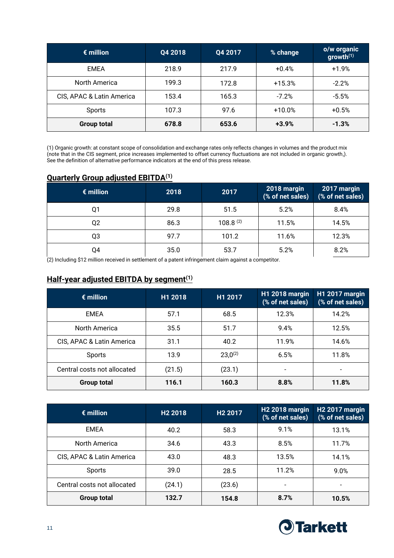| $\epsilon$ million        | Q4 2018 | Q4 2017 | % change | o/w organic<br>growth <sup>(1)</sup> |
|---------------------------|---------|---------|----------|--------------------------------------|
| <b>EMEA</b>               | 218.9   | 217.9   | $+0.4%$  | $+1.9%$                              |
| North America             | 199.3   | 172.8   | $+15.3%$ | $-2.2%$                              |
| CIS, APAC & Latin America | 153.4   | 165.3   | $-7.2%$  | $-5.5%$                              |
| Sports                    | 107.3   | 97.6    | $+10.0%$ | $+0.5%$                              |
| <b>Group total</b>        | 678.8   | 653.6   | $+3.9%$  | $-1.3%$                              |

(1) Organic growth: at constant scope of consolidation and exchange rates only reflects changes in volumes and the product mix (note that in the CIS segment, price increases implemented to offset currency fluctuations are not included in organic growth,). See the definition of alternative performance indicators at the end of this press release.

## **Quarterly Group adjusted EBITDA(1)**

| $\epsilon$ million | 2018 | 2017          | 2018 margin<br>(% of net sales) | 2017 margin<br>(% of net sales) |
|--------------------|------|---------------|---------------------------------|---------------------------------|
| Q1                 | 29.8 | 51.5          | 5.2%                            | 8.4%                            |
| Q2                 | 86.3 | $108.8^{(2)}$ | 11.5%                           | 14.5%                           |
| Q3                 | 97.7 | 101.2         | 11.6%                           | 12.3%                           |
| Q4                 | 35.0 | 53.7          | 5.2%                            | 8.2%                            |

(2) Including \$12 million received in settlement of a patent infringement claim against a competitor.

## **Half-year adjusted EBITDA by segment(1)**

| $\epsilon$ million          | H1 2018 | H1 2017      | <b>H1 2018 margin</b><br>(% of net sales) | <b>H1 2017 margin</b><br>(% of net sales) |
|-----------------------------|---------|--------------|-------------------------------------------|-------------------------------------------|
| <b>EMEA</b>                 | 57.1    | 68.5         | 12.3%                                     | 14.2%                                     |
| North America               | 35.5    | 51.7         | 9.4%                                      | 12.5%                                     |
| CIS, APAC & Latin America   | 31.1    | 40.2         | 11.9%                                     | 14.6%                                     |
| Sports                      | 13.9    | $23,0^{(2)}$ | 6.5%                                      | 11.8%                                     |
| Central costs not allocated | (21.5)  | (23.1)       | -                                         |                                           |
| <b>Group total</b>          | 116.1   | 160.3        | 8.8%                                      | 11.8%                                     |

| $\epsilon$ million          | H <sub>2</sub> 2018 | H <sub>2</sub> 2017 | H <sub>2</sub> 2018 margin<br>(% of net sales) | <b>H2 2017 margin</b><br>(% of net sales) |
|-----------------------------|---------------------|---------------------|------------------------------------------------|-------------------------------------------|
| <b>EMEA</b>                 | 40.2                | 58.3                | 9.1%                                           | 13.1%                                     |
| North America               | 34.6                | 43.3                | 8.5%                                           | 11.7%                                     |
| CIS, APAC & Latin America   | 43.0                | 48.3                | 13.5%                                          | 14.1%                                     |
| Sports                      | 39.0                | 28.5                | 11.2%                                          | 9.0%                                      |
| Central costs not allocated | (24.1)              | (23.6)              | $\blacksquare$                                 | $\overline{\phantom{0}}$                  |
| <b>Group total</b>          | 132.7               | 154.8               | 8.7%                                           | 10.5%                                     |

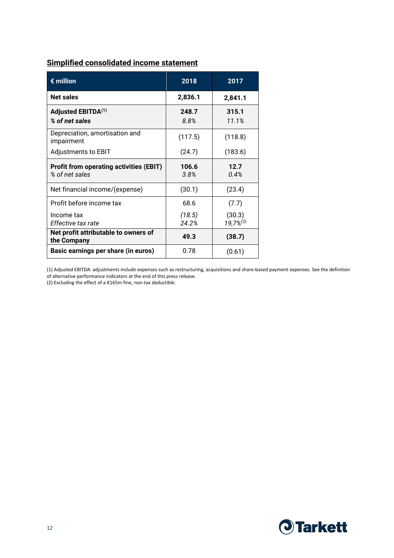| <b>Simplified consolidated income statement</b> |  |
|-------------------------------------------------|--|
|                                                 |  |

| $\epsilon$ million                                               | 2018            | 2017                     |  |
|------------------------------------------------------------------|-----------------|--------------------------|--|
| <b>Net sales</b>                                                 | 2,836.1         | 2,841.1                  |  |
| Adjusted EBITDA <sup>(1)</sup><br>% of net sales                 | 248.7<br>8.8%   | 315.1<br>11.1%           |  |
| Depreciation, amortisation and<br>impairment                     | (117.5)         | (118.8)                  |  |
| Adjustments to EBIT                                              | (24.7)          | (183.6)                  |  |
| <b>Profit from operating activities (EBIT)</b><br>% of net sales | 106.6<br>3.8%   | 12.7<br>0.4%             |  |
| Net financial income/(expense)                                   | (30.1)          | (23.4)                   |  |
| Profit before income tax                                         | 68.6            | (7.7)                    |  |
| Income tax<br>Effective tax rate                                 | (18.5)<br>24.2% | (30.3)<br>$19,7\%^{(2)}$ |  |
| Net profit attributable to owners of<br>the Company              | 49.3            | (38.7)                   |  |
| Basic earnings per share (in euros)                              | 0.78            | (0.61)                   |  |

(1) Adjusted EBITDA: adjustments include expenses such as restructuring, acquisitions and share-based payment expenses. See the definition of alternative performance indicators at the end of this press release.

(2) Excluding the effect of a €165m fine, non-tax deductible.

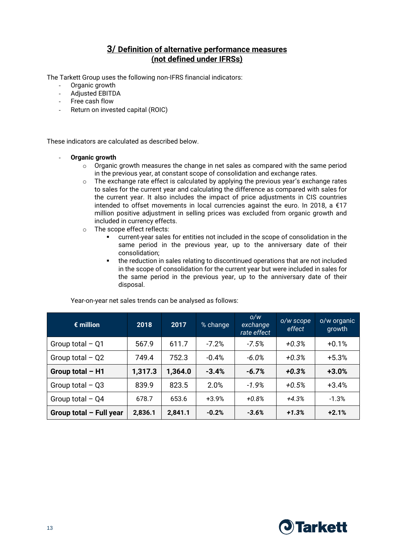# **3/ Definition of alternative performance measures (not defined under IFRSs)**

The Tarkett Group uses the following non-IFRS financial indicators:

- Organic growth
- Adjusted EBITDA
- Free cash flow
- Return on invested capital (ROIC)

These indicators are calculated as described below.

#### - **Organic growth**

- $\circ$  Organic growth measures the change in net sales as compared with the same period in the previous year, at constant scope of consolidation and exchange rates.
- o The exchange rate effect is calculated by applying the previous year's exchange rates to sales for the current year and calculating the difference as compared with sales for the current year. It also includes the impact of price adjustments in CIS countries intended to offset movements in local currencies against the euro. In 2018, a €17 million positive adjustment in selling prices was excluded from organic growth and included in currency effects.
- o The scope effect reflects:
	- current-year sales for entities not included in the scope of consolidation in the same period in the previous year, up to the anniversary date of their consolidation;
	- the reduction in sales relating to discontinued operations that are not included in the scope of consolidation for the current year but were included in sales for the same period in the previous year, up to the anniversary date of their disposal.

| $\epsilon$ million        | 2018    | 2017    | % change | O/W<br>exchange<br>rate effect | o/w scope<br>effect | o/w organic<br>growth |
|---------------------------|---------|---------|----------|--------------------------------|---------------------|-----------------------|
| Group total $-$ Q1        | 567.9   | 611.7   | $-7.2%$  | $-7.5%$                        | $+0.3%$             | $+0.1%$               |
| Group total $-$ Q2        | 749.4   | 752.3   | $-0.4%$  | $-6.0\%$                       | $+0.3%$             | $+5.3%$               |
| Group total $- H1$        | 1,317.3 | 1,364.0 | $-3.4%$  | $-6.7%$                        | $+0.3%$             | $+3.0%$               |
| Group total $-$ Q3        | 839.9   | 823.5   | 2.0%     | $-1.9%$                        | $+0.5%$             | $+3.4%$               |
| Group total $-$ Q4        | 678.7   | 653.6   | $+3.9%$  | $+0.8%$                        | $+4.3%$             | $-1.3%$               |
| Group total $-$ Full year | 2,836.1 | 2,841.1 | $-0.2%$  | $-3.6%$                        | $+1.3%$             | $+2.1%$               |

Year-on-year net sales trends can be analysed as follows:

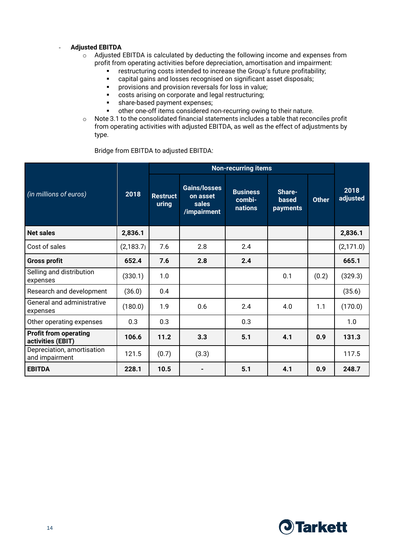### - **Adjusted EBITDA**

- o Adjusted EBITDA is calculated by deducting the following income and expenses from profit from operating activities before depreciation, amortisation and impairment:
	- **•** restructuring costs intended to increase the Group's future profitability;
	- capital gains and losses recognised on significant asset disposals;
	- provisions and provision reversals for loss in value;
	- costs arising on corporate and legal restructuring;
	- **share-based payment expenses;**
	- other one-off items considered non-recurring owing to their nature.
- $\circ$  Note 3.1 to the consolidated financial statements includes a table that reconciles profit from operating activities with adjusted EBITDA, as well as the effect of adjustments by type.

Bridge from EBITDA to adjusted EBITDA:

|                                                   |            |                          | <b>Non-recurring items</b>                              |                                      |                                    |              |                  |
|---------------------------------------------------|------------|--------------------------|---------------------------------------------------------|--------------------------------------|------------------------------------|--------------|------------------|
| (in millions of euros)                            | 2018       | <b>Restruct</b><br>uring | <b>Gains/losses</b><br>on asset<br>sales<br>/impairment | <b>Business</b><br>combi-<br>nations | Share-<br><b>based</b><br>payments | <b>Other</b> | 2018<br>adjusted |
| <b>Net sales</b>                                  | 2,836.1    |                          |                                                         |                                      |                                    |              | 2,836.1          |
| Cost of sales                                     | (2, 183.7) | 7.6                      | 2.8                                                     | 2.4                                  |                                    |              | (2,171.0)        |
| <b>Gross profit</b>                               | 652.4      | 7.6                      | 2.8                                                     | 2.4                                  |                                    |              | 665.1            |
| Selling and distribution<br>expenses              | (330.1)    | 1.0                      |                                                         |                                      | 0.1                                | (0.2)        | (329.3)          |
| Research and development                          | (36.0)     | 0.4                      |                                                         |                                      |                                    |              | (35.6)           |
| General and administrative<br>expenses            | (180.0)    | 1.9                      | 0.6                                                     | 2.4                                  | 4.0                                | 1.1          | (170.0)          |
| Other operating expenses                          | 0.3        | 0.3                      |                                                         | 0.3                                  |                                    |              | 1.0              |
| <b>Profit from operating</b><br>activities (EBIT) | 106.6      | 11.2                     | 3.3                                                     | 5.1                                  | 4.1                                | 0.9          | 131.3            |
| Depreciation, amortisation<br>and impairment      | 121.5      | (0.7)                    | (3.3)                                                   |                                      |                                    |              | 117.5            |
| <b>EBITDA</b>                                     | 228.1      | 10.5                     |                                                         | 5.1                                  | 4.1                                | 0.9          | 248.7            |

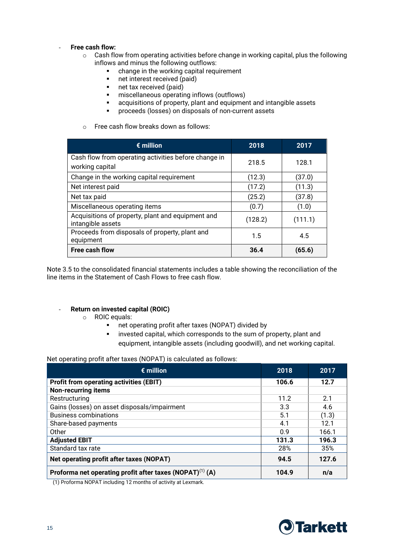#### - **Free cash flow:**

- $\circ$  Cash flow from operating activities before change in working capital, plus the following inflows and minus the following outflows:
	- change in the working capital requirement<br>■ net interest received (paid)
	- net interest received (paid)
	- net tax received (paid)
	- miscellaneous operating inflows (outflows)
	- acquisitions of property, plant and equipment and intangible assets
	- proceeds (losses) on disposals of non-current assets
- o Free cash flow breaks down as follows:

| $\epsilon$ million                                                      | 2018    | 2017    |
|-------------------------------------------------------------------------|---------|---------|
| Cash flow from operating activities before change in<br>working capital | 218.5   | 128.1   |
| Change in the working capital requirement                               | (12.3)  | (37.0)  |
| Net interest paid                                                       | (17.2)  | (11.3)  |
| Net tax paid                                                            | (25.2)  | (37.8)  |
| Miscellaneous operating items                                           | (0.7)   | (1.0)   |
| Acquisitions of property, plant and equipment and<br>intangible assets  | (128.2) | (111.1) |
| Proceeds from disposals of property, plant and<br>equipment             | 1.5     | 4.5     |
| <b>Free cash flow</b>                                                   | 36.4    | (65.6)  |

Note 3.5 to the consolidated financial statements includes a table showing the reconciliation of the line items in the Statement of Cash Flows to free cash flow.

### - **Return on invested capital (ROIC)**

- o ROIC equals:
	- net operating profit after taxes (NOPAT) divided by
	- **EXEDER** invested capital, which corresponds to the sum of property, plant and equipment, intangible assets (including goodwill), and net working capital.

Net operating profit after taxes (NOPAT) is calculated as follows:

| $\epsilon$ million                                                   | 2018  | 2017  |
|----------------------------------------------------------------------|-------|-------|
| <b>Profit from operating activities (EBIT)</b>                       | 106.6 | 12.7  |
| <b>Non-recurring items</b>                                           |       |       |
| Restructuring                                                        | 11.2  | 2.1   |
| Gains (losses) on asset disposals/impairment                         | 3.3   | 4.6   |
| <b>Business combinations</b>                                         | 5.1   | (1.3) |
| Share-based payments                                                 | 4.1   | 12.1  |
| Other                                                                | 0.9   | 166.1 |
| <b>Adjusted EBIT</b>                                                 | 131.3 | 196.3 |
| Standard tax rate                                                    | 28%   | 35%   |
| Net operating profit after taxes (NOPAT)                             | 94.5  | 127.6 |
| Proforma net operating profit after taxes (NOPAT) <sup>(1)</sup> (A) | 104.9 | n/a   |

(1) Proforma NOPAT including 12 months of activity at Lexmark.